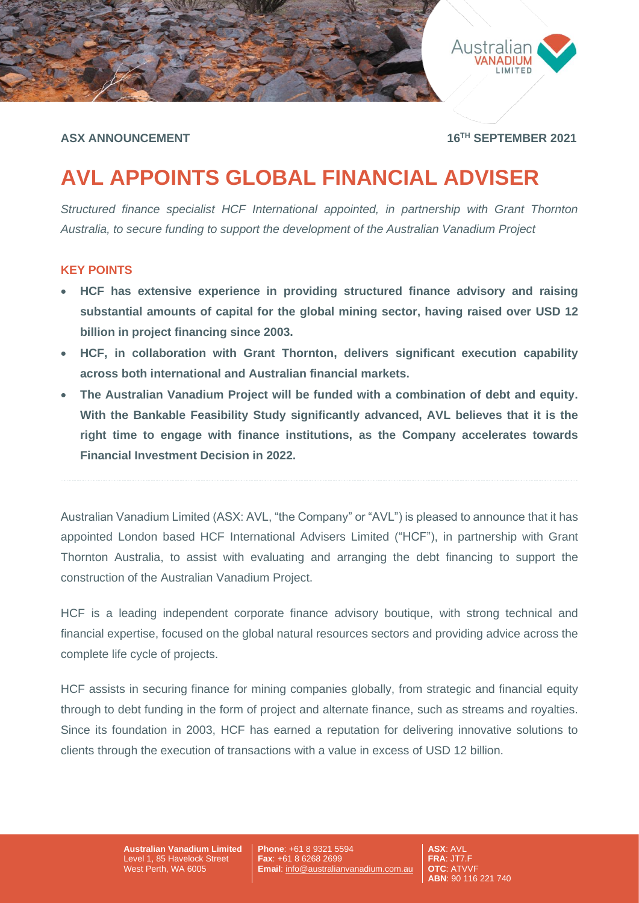



**ASX ANNOUNCEMENT 16TH SEPTEMBER 2021**

# **AVL APPOINTS GLOBAL FINANCIAL ADVISER**

*Structured finance specialist HCF International appointed, in partnership with Grant Thornton Australia, to secure funding to support the development of the Australian Vanadium Project*

## **KEY POINTS**

- **HCF has extensive experience in providing structured finance advisory and raising substantial amounts of capital for the global mining sector, having raised over USD 12 billion in project financing since 2003.**
- **HCF, in collaboration with Grant Thornton, delivers significant execution capability across both international and Australian financial markets.**
- **The Australian Vanadium Project will be funded with a combination of debt and equity. With the Bankable Feasibility Study significantly advanced, AVL believes that it is the right time to engage with finance institutions, as the Company accelerates towards Financial Investment Decision in 2022.**

Australian Vanadium Limited (ASX: AVL, "the Company" or "AVL") is pleased to announce that it has appointed London based HCF International Advisers Limited ("HCF"), in partnership with Grant Thornton Australia, to assist with evaluating and arranging the debt financing to support the construction of the Australian Vanadium Project.

HCF is a leading independent corporate finance advisory boutique, with strong technical and financial expertise, focused on the global natural resources sectors and providing advice across the complete life cycle of projects.

HCF assists in securing finance for mining companies globally, from strategic and financial equity through to debt funding in the form of project and alternate finance, such as streams and royalties. Since its foundation in 2003, HCF has earned a reputation for delivering innovative solutions to clients through the execution of transactions with a value in excess of USD 12 billion.

> **Australian Vanadium Limited** Level 1, 85 Havelock Street West Perth, WA 6005

**Phone**: +61 8 9321 5594 **Fax**: +61 8 6268 2699 **Email**: [info@australianvanadium.com.au](mailto:info@australianvanadium.com.au)

**ASX**: AVL **FRA**: JT7.F **OTC**: ATVVF **ABN**: 90 116 221 740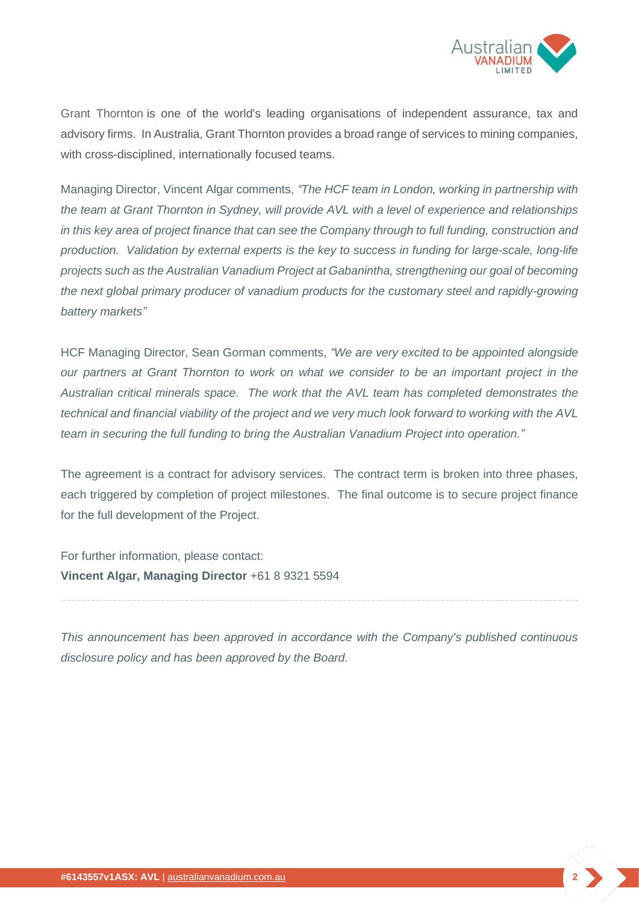

Grant Thornton is one of the world's leading organisations of independent assurance, tax and advisory firms. In Australia, Grant Thornton provides a broad range of services to mining companies, with cross-disciplined, internationally focused teams.

Managing Director, Vincent Algar comments, *"The HCF team in London, working in partnership with the team at Grant Thornton in Sydney, will provide AVL with a level of experience and relationships in this key area of project finance that can see the Company through to full funding, construction and production. Validation by external experts is the key to success in funding for large-scale, long-life projects such as the Australian Vanadium Project at Gabanintha, strengthening our goal of becoming the next global primary producer of vanadium products for the customary steel and rapidly-growing battery markets"*

HCF Managing Director, Sean Gorman comments, *"We are very excited to be appointed alongside our partners at Grant Thornton to work on what we consider to be an important project in the Australian critical minerals space. The work that the AVL team has completed demonstrates the technical and financial viability of the project and we very much look forward to working with the AVL team in securing the full funding to bring the Australian Vanadium Project into operation."* 

The agreement is a contract for advisory services. The contract term is broken into three phases, each triggered by completion of project milestones. The final outcome is to secure project finance for the full development of the Project.

For further information, please contact: **Vincent Algar, Managing Director** +61 8 9321 5594

*This announcement has been approved in accordance with the Company's published continuous disclosure policy and has been approved by the Board.*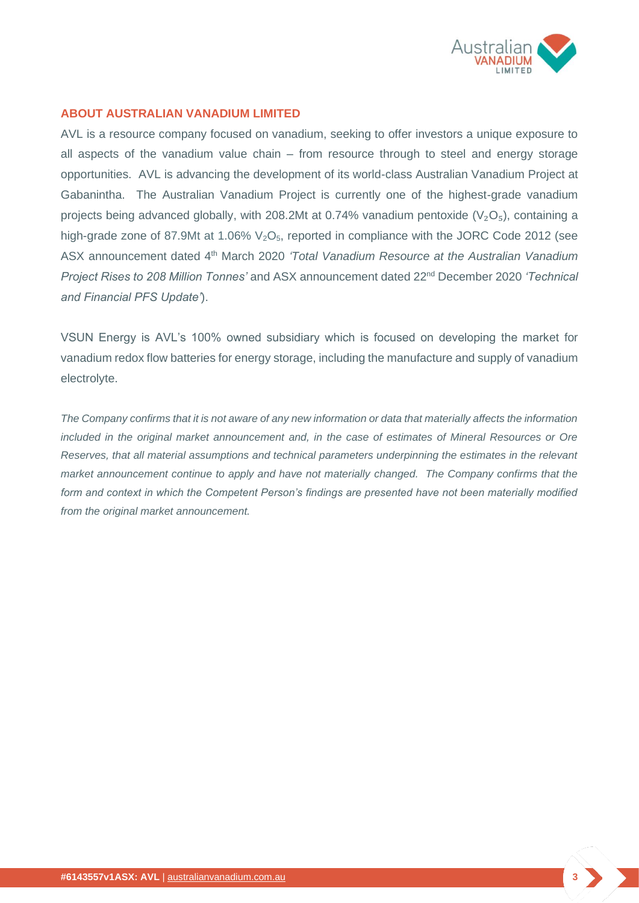

## **ABOUT AUSTRALIAN VANADIUM LIMITED**

AVL is a resource company focused on vanadium, seeking to offer investors a unique exposure to all aspects of the vanadium value chain – from resource through to steel and energy storage opportunities. AVL is advancing the development of its world-class Australian Vanadium Project at Gabanintha. The Australian Vanadium Project is currently one of the highest-grade vanadium projects being advanced globally, with 208.2Mt at 0.74% vanadium pentoxide ( $V_2O_5$ ), containing a high-grade zone of 87.9Mt at 1.06%  $V<sub>2</sub>O<sub>5</sub>$ , reported in compliance with the JORC Code 2012 (see ASX announcement dated 4th March 2020 *'Total Vanadium Resource at the Australian Vanadium Project Rises to 208 Million Tonnes'* and ASX announcement dated 22nd December 2020 *'Technical and Financial PFS Update'*).

VSUN Energy is AVL's 100% owned subsidiary which is focused on developing the market for vanadium redox flow batteries for energy storage, including the manufacture and supply of vanadium electrolyte.

*The Company confirms that it is not aware of any new information or data that materially affects the information included in the original market announcement and, in the case of estimates of Mineral Resources or Ore Reserves, that all material assumptions and technical parameters underpinning the estimates in the relevant market announcement continue to apply and have not materially changed. The Company confirms that the form and context in which the Competent Person's findings are presented have not been materially modified from the original market announcement.*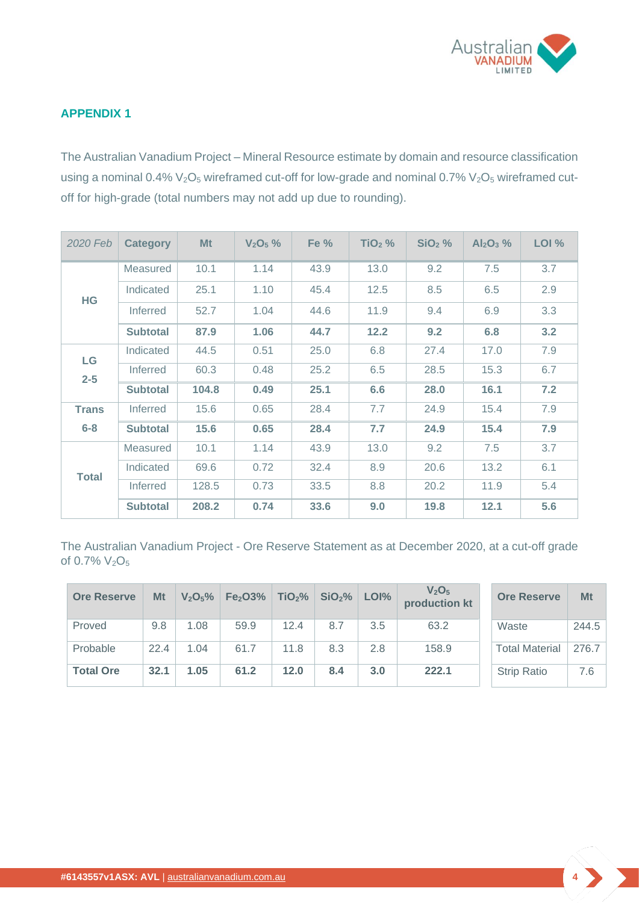

## **APPENDIX 1**

The Australian Vanadium Project – Mineral Resource estimate by domain and resource classification using a nominal 0.4%  $V_2O_5$  wireframed cut-off for low-grade and nominal 0.7%  $V_2O_5$  wireframed cutoff for high-grade (total numbers may not add up due to rounding).

| 2020 Feb      | <b>Category</b> | Mt    | $V_2O_5%$ | Fe % | $TiO2$ % | $SiO2$ % | $Al_2O_3$ % | LOI % |
|---------------|-----------------|-------|-----------|------|----------|----------|-------------|-------|
| HG            | Measured        | 10.1  | 1.14      | 43.9 | 13.0     | 9.2      | 7.5         | 3.7   |
|               | Indicated       | 25.1  | 1.10      | 45.4 | 12.5     | 8.5      | 6.5         | 2.9   |
|               | Inferred        | 52.7  | 1.04      | 44.6 | 11.9     | 9.4      | 6.9         | 3.3   |
|               | <b>Subtotal</b> | 87.9  | 1.06      | 44.7 | 12.2     | 9.2      | 6.8         | 3.2   |
| LG<br>$2 - 5$ | Indicated       | 44.5  | 0.51      | 25.0 | 6.8      | 27.4     | 17.0        | 7.9   |
|               | <b>Inferred</b> | 60.3  | 0.48      | 25.2 | 6.5      | 28.5     | 15.3        | 6.7   |
|               | <b>Subtotal</b> | 104.8 | 0.49      | 25.1 | 6.6      | 28.0     | 16.1        | 7.2   |
| <b>Trans</b>  | <b>Inferred</b> | 15.6  | 0.65      | 28.4 | 7.7      | 24.9     | 15.4        | 7.9   |
| $6 - 8$       | <b>Subtotal</b> | 15.6  | 0.65      | 28.4 | 7.7      | 24.9     | 15.4        | 7.9   |
| <b>Total</b>  | Measured        | 10.1  | 1.14      | 43.9 | 13.0     | 9.2      | 7.5         | 3.7   |
|               | Indicated       | 69.6  | 0.72      | 32.4 | 8.9      | 20.6     | 13.2        | 6.1   |
|               | <b>Inferred</b> | 128.5 | 0.73      | 33.5 | 8.8      | 20.2     | 11.9        | 5.4   |
|               | <b>Subtotal</b> | 208.2 | 0.74      | 33.6 | 9.0      | 19.8     | 12.1        | 5.6   |

The Australian Vanadium Project - Ore Reserve Statement as at December 2020, at a cut-off grade of 0.7% V<sub>2</sub>O<sub>5</sub>

| <b>Ore Reserve</b> | Mt   | V <sub>2</sub> O <sub>5</sub> % | Fe <sub>2</sub> O <sub>3</sub> % | TiO <sub>2</sub> % | SiO <sub>2</sub> % | LOI% | V <sub>2</sub> O <sub>5</sub><br>production kt | <b>Ore Reserve</b>    | Mt    |
|--------------------|------|---------------------------------|----------------------------------|--------------------|--------------------|------|------------------------------------------------|-----------------------|-------|
| Proved             | 9.8  | 1.08                            | 59.9                             | 12.4               | 8.7                | 3.5  | 63.2                                           | Waste                 | 244.5 |
| Probable           | 22.4 | 1.04                            | 61.7                             | 11.8               | 8.3                | 2.8  | 158.9                                          | <b>Total Material</b> | 276.7 |
| <b>Total Ore</b>   | 32.1 | 1.05                            | 61.2                             | 12.0               | 8.4                | 3.0  | 222.1                                          | <b>Strip Ratio</b>    | 7.6   |